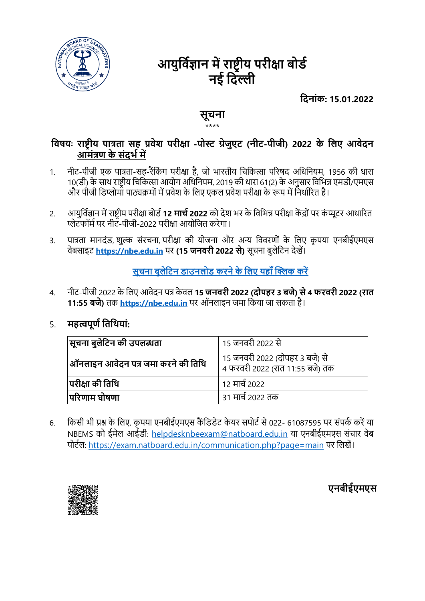

# **आयुर्विज्ञान मेंराष्ट्रीय परीक्षा बोर्ि नई र्िल्ली**

**र्िनाांक: 15.01.2022**

# **सूचना**

### \*\*\*\*

### **र्वषयः राष्ट्रीय पात्रता सह प्रवेश परीक्षा -पोस्ट ग्रेजुएट (नीट-पीजी) 2022 के र्िए आवेिन आमांत्रण के सांिर्ि में**

- 1. नीट-पीजी एक पात्रता-सह-रैंकिंग परीक्षा है, जो भारतीय चिकित्सा परिषद अधिनियम, 1956 की धारा 10(डी) के साथ राष्ट्रीय चिकित्सा आयोग अधिनियम, 2019 की धारा 61(2) के अनुसार विभिन्न एमडी/एमएस और पीजी डिप्लोमा पाठ्यक्रमों में प्रवेश के लिए एकल प्रवेश परीक्षा के रूप में निर्धारित है।
- 2. अायुर्विज्ञान में राष्ट्रीय परीक्षा बोर्ड **12 मार्च 2022** को देश भर के विभिन्न परीक्षा केंद्रों पर कंप्यूटर आधारित प्लेटफॉर्म पर नीट-पीजी-2022 परीक्षा आयोजित करेगा।
- 3. पात्रता मानदंड, शुल्क संरचना, परीक्षा की योजना और अन्य विवरणों के लिए कृपया एनबीईएमएस िेबसाइट **[https://nbe.edu.in](https://nbe.edu.in/)** पर **(15 जनवरी 2022 से)** सूिना बुिेकटन देखें।

## **[सूचना बुिेर्टन र्ाउनिोर् करने के र्िए यहााँ क्लिक करें](https://natboard.edu.in/viewUpload?xyz=KzJJdytpemw5enVqeEdSL096cUtKUT09)**

- 4. नीट-पीजी 2022 के किए आिेदन पत्र के िि **15 जनवरी 2022 (िोपहर 3 बजे) से 4 फरवरी 2022 (रात 11:55 बजे)** तक **[https://nbe.edu.in](https://nbe.edu.in/)** पर ऑनिाइन जमा ककया जा सकता है।
- 5. **महत्वपूणिर्तर्ियाां :**

| सूचना बुलेटिन की उपलब्धता          | 15 जनवरी 2022 से                                                      |
|------------------------------------|-----------------------------------------------------------------------|
| ऑनलाइन आवेदन पत्र जमा करने की तिथि | । 15 जनवरी 2022 (दोपहर 3 बजे) से<br>। 4 फरवरी 2022 (रात 11:55 बजे) तक |
| परीक्षा की तिथि                    | 12 मार्च 2022                                                         |
| परिणाम घोषणा                       | 31 मार्च 2022 तक                                                      |

6. किसी भी प्रश्न के लिए, कृपया एनबीईएमएस कैंडिडेट केयर सपोर्ट से 022- 61087595 पर संपर्क करें या NBEMS को ईमेल आईडी: [helpdesknbeexam@natboard.edu.in](mailto:helpdesknbeexam@natboard.edu.in) या एनबीईएमएस संचार वेब पोटाि: https://exam.natboard.edu.[in/communication.php?page=main](https://exam.natboard.edu.in/communication.php?page=main) पर किखें।



## **एनबीईएमएस**